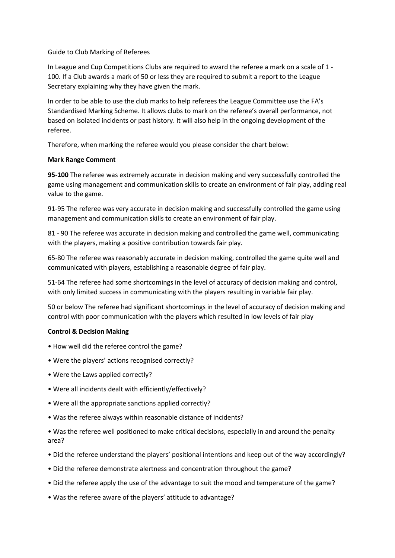## Guide to Club Marking of Referees

In League and Cup Competitions Clubs are required to award the referee a mark on a scale of 1 - 100. If a Club awards a mark of 50 or less they are required to submit a report to the League Secretary explaining why they have given the mark.

In order to be able to use the club marks to help referees the League Committee use the FA's Standardised Marking Scheme. It allows clubs to mark on the referee's overall performance, not based on isolated incidents or past history. It will also help in the ongoing development of the referee.

Therefore, when marking the referee would you please consider the chart below:

## **Mark Range Comment**

**95-100** The referee was extremely accurate in decision making and very successfully controlled the game using management and communication skills to create an environment of fair play, adding real value to the game.

91-95 The referee was very accurate in decision making and successfully controlled the game using management and communication skills to create an environment of fair play.

81 - 90 The referee was accurate in decision making and controlled the game well, communicating with the players, making a positive contribution towards fair play.

65-80 The referee was reasonably accurate in decision making, controlled the game quite well and communicated with players, establishing a reasonable degree of fair play.

51-64 The referee had some shortcomings in the level of accuracy of decision making and control, with only limited success in communicating with the players resulting in variable fair play.

50 or below The referee had significant shortcomings in the level of accuracy of decision making and control with poor communication with the players which resulted in low levels of fair play

## **Control & Decision Making**

- How well did the referee control the game?
- Were the players' actions recognised correctly?
- Were the Laws applied correctly?
- Were all incidents dealt with efficiently/effectively?
- Were all the appropriate sanctions applied correctly?
- Was the referee always within reasonable distance of incidents?

• Was the referee well positioned to make critical decisions, especially in and around the penalty area?

- Did the referee understand the players' positional intentions and keep out of the way accordingly?
- Did the referee demonstrate alertness and concentration throughout the game?
- Did the referee apply the use of the advantage to suit the mood and temperature of the game?
- Was the referee aware of the players' attitude to advantage?